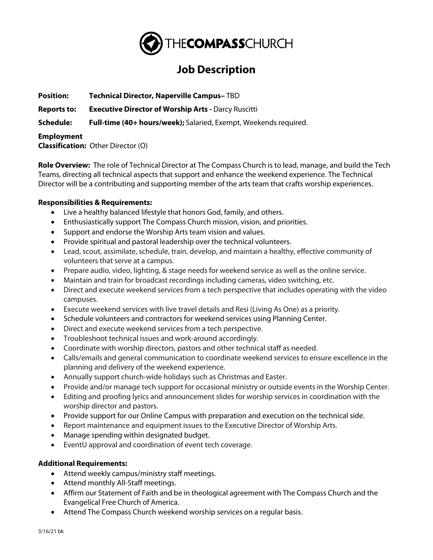

## **Job Description**

**Position: Technical Director, Naperville Campus–** TBD

**Reports to: Executive Director of Worship Arts -** Darcy Ruscitti

**Schedule: Full-time (40+ hours/week);** Salaried, Exempt, Weekends required.

## **Employment**

**Classification:** Other Director (O)

**Role Overview:** The role of Technical Director at The Compass Church is to lead, manage, and build the Tech Teams, directing all technical aspects that support and enhance the weekend experience. The Technical Director will be a contributing and supporting member of the arts team that crafts worship experiences.

## **Responsibilities & Requirements:**

- Live a healthy balanced lifestyle that honors God, family, and others.
- Enthusiastically support The Compass Church mission, vision, and priorities.
- Support and endorse the Worship Arts team vision and values.
- Provide spiritual and pastoral leadership over the technical volunteers.
- Lead, scout, assimilate, schedule, train, develop, and maintain a healthy, effective community of volunteers that serve at a campus.
- Prepare audio, video, lighting, & stage needs for weekend service as well as the online service.
- Maintain and train for broadcast recordings including cameras, video switching, etc.
- Direct and execute weekend services from a tech perspective that includes operating with the video campuses.
- Execute weekend services with live travel details and Resi (Living As One) as a priority.
- Schedule volunteers and contractors for weekend services using Planning Center.
- Direct and execute weekend services from a tech perspective.
- Troubleshoot technical issues and work-around accordingly.
- Coordinate with worship directors, pastors and other technical staff as needed.
- Calls/emails and general communication to coordinate weekend services to ensure excellence in the planning and delivery of the weekend experience.
- Annually support church-wide holidays such as Christmas and Easter.
- Provide and/or manage tech support for occasional ministry or outside events in the Worship Center.
- Editing and proofing lyrics and announcement slides for worship services in coordination with the worship director and pastors.
- Provide support for our Online Campus with preparation and execution on the technical side.
- Report maintenance and equipment issues to the Executive Director of Worship Arts.
- Manage spending within designated budget.
- EventU approval and coordination of event tech coverage.

## **Additional Requirements:**

- Attend weekly campus/ministry staff meetings.
- Attend monthly All-Staff meetings.
- Affirm our Statement of Faith and be in theological agreement with The Compass Church and the Evangelical Free Church of America.
- Attend The Compass Church weekend worship services on a regular basis.